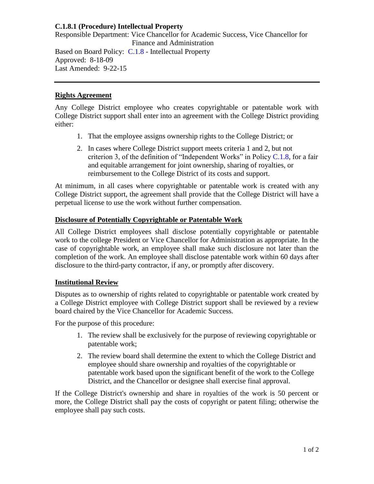# **C.1.8.1 (Procedure) Intellectual Property**

Responsible Department: Vice Chancellor for Academic Success, Vice Chancellor for Finance and Administration Based on Board Policy: [C.1.8](https://www.alamo.edu/siteassets/district/about-us/leadership/board-of-trustees/policies-pdfs/section-c/c.1.8-policy.pdf) - Intellectual Property Approved: 8-18-09 Last Amended: 9-22-15

### **Rights Agreement**

Any College District employee who creates copyrightable or patentable work with College District support shall enter into an agreement with the College District providing either:

- 1. That the employee assigns ownership rights to the College District; or
- 2. In cases where College District support meets criteria 1 and 2, but not criterion 3, of the definition of "Independent Works" in Policy  $C.1.8$ , for a fair and equitable arrangement for joint ownership, sharing of royalties, or reimbursement to the College District of its costs and support.

At minimum, in all cases where copyrightable or patentable work is created with any College District support, the agreement shall provide that the College District will have a perpetual license to use the work without further compensation.

# **Disclosure of Potentially Copyrightable or Patentable Work**

All College District employees shall disclose potentially copyrightable or patentable work to the college President or Vice Chancellor for Administration as appropriate. In the case of copyrightable work, an employee shall make such disclosure not later than the completion of the work. An employee shall disclose patentable work within 60 days after disclosure to the third-party contractor, if any, or promptly after discovery.

# **Institutional Review**

Disputes as to ownership of rights related to copyrightable or patentable work created by a College District employee with College District support shall be reviewed by a review board chaired by the Vice Chancellor for Academic Success.

For the purpose of this procedure:

- 1. The review shall be exclusively for the purpose of reviewing copyrightable or patentable work;
- 2. The review board shall determine the extent to which the College District and employee should share ownership and royalties of the copyrightable or patentable work based upon the significant benefit of the work to the College District, and the Chancellor or designee shall exercise final approval.

If the College District's ownership and share in royalties of the work is 50 percent or more, the College District shall pay the costs of copyright or patent filing; otherwise the employee shall pay such costs.